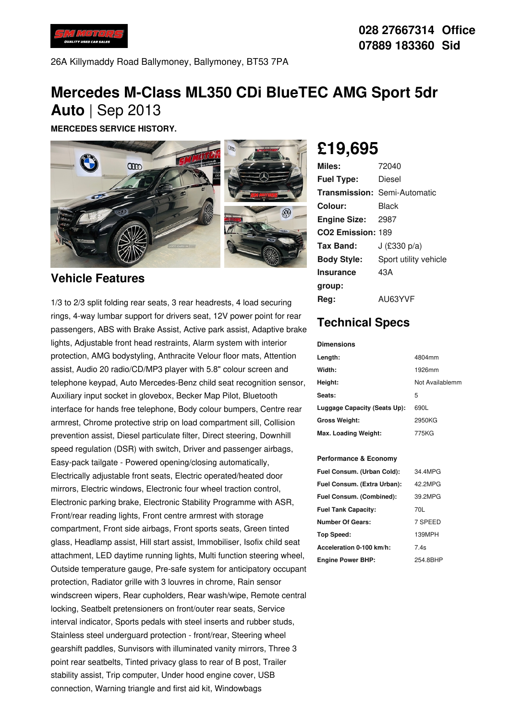

26A Killymaddy Road Ballymoney, Ballymoney, BT53 7PA

## **Mercedes M-Class ML350 CDi BlueTEC AMG Sport 5dr Auto** | Sep 2013

**MERCEDES SERVICE HISTORY.**



### **Vehicle Features**

1/3 to 2/3 split folding rear seats, 3 rear headrests, 4 load securing rings, 4-way lumbar support for drivers seat, 12V power point for rear passengers, ABS with Brake Assist, Active park assist, Adaptive brake lights, Adjustable front head restraints, Alarm system with interior protection, AMG bodystyling, Anthracite Velour floor mats, Attention assist, Audio 20 radio/CD/MP3 player with 5.8" colour screen and telephone keypad, Auto Mercedes-Benz child seat recognition sensor, Auxiliary input socket in glovebox, Becker Map Pilot, Bluetooth interface for hands free telephone, Body colour bumpers, Centre rear armrest, Chrome protective strip on load compartment sill, Collision prevention assist, Diesel particulate filter, Direct steering, Downhill speed regulation (DSR) with switch, Driver and passenger airbags, Easy-pack tailgate - Powered opening/closing automatically, Electrically adjustable front seats, Electric operated/heated door mirrors, Electric windows, Electronic four wheel traction control, Electronic parking brake, Electronic Stability Programme with ASR, Front/rear reading lights, Front centre armrest with storage compartment, Front side airbags, Front sports seats, Green tinted glass, Headlamp assist, Hill start assist, Immobiliser, Isofix child seat attachment, LED daytime running lights, Multi function steering wheel, Outside temperature gauge, Pre-safe system for anticipatory occupant protection, Radiator grille with 3 louvres in chrome, Rain sensor windscreen wipers, Rear cupholders, Rear wash/wipe, Remote central locking, Seatbelt pretensioners on front/outer rear seats, Service interval indicator, Sports pedals with steel inserts and rubber studs, Stainless steel underguard protection - front/rear, Steering wheel gearshift paddles, Sunvisors with illuminated vanity mirrors, Three 3 point rear seatbelts, Tinted privacy glass to rear of B post, Trailer stability assist, Trip computer, Under hood engine cover, USB connection, Warning triangle and first aid kit, Windowbags

# **£19,695**

| Miles:                        | 72040                               |
|-------------------------------|-------------------------------------|
| <b>Fuel Type:</b>             | Diesel                              |
|                               | <b>Transmission: Semi-Automatic</b> |
| Colour:                       | Black                               |
| <b>Engine Size: 2987</b>      |                                     |
| CO <sub>2</sub> Emission: 189 |                                     |
| Tax Band:                     | J (£330 p/a)                        |
| <b>Body Style:</b>            | Sport utility vehicle               |
| <b>Insurance</b>              | 43A                                 |
| group:                        |                                     |
| Reg:                          | AU63YVF                             |

## **Technical Specs**

#### **Dimensions**

| Length:                      | 4804mm          |
|------------------------------|-----------------|
| Width:                       | 1926mm          |
| Height:                      | Not Availablemm |
| Seats:                       | 5               |
| Luggage Capacity (Seats Up): | 690L            |
| <b>Gross Weight:</b>         | 2950KG          |
| Max. Loading Weight:         | 775KG           |

#### **Performance & Economy**

| Fuel Consum. (Urban Cold):  | 34 4MPG  |
|-----------------------------|----------|
| Fuel Consum. (Extra Urban): | 42 2MPG  |
| Fuel Consum. (Combined):    | 39.2MPG  |
| <b>Fuel Tank Capacity:</b>  | 70L      |
| <b>Number Of Gears:</b>     | 7 SPEED  |
| Top Speed:                  | 139MPH   |
| Acceleration 0-100 km/h:    | 7.4s     |
| <b>Engine Power BHP:</b>    | 254.8BHP |